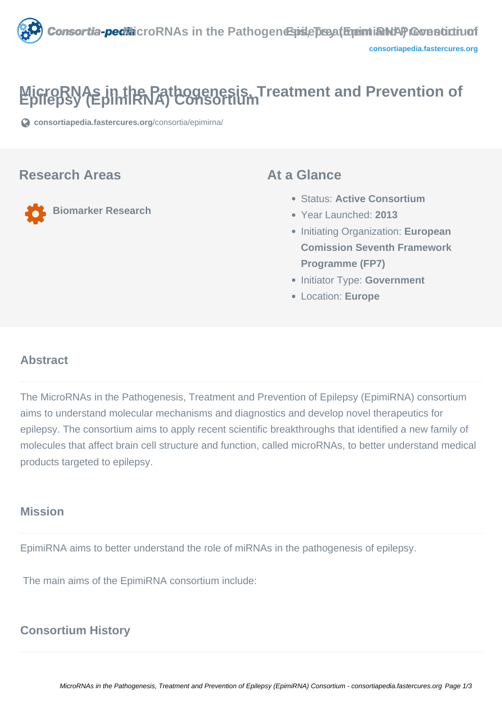

# **MicroRNAs in the Pathogenesis, Treatment and Prevention of Epilepsy (EpimiRNA) Consortium**

**[consortiapedia.fastercures.org](https://consortiapedia.fastercures.org/consortia/epimirna/)**[/consortia/epimirna/](https://consortiapedia.fastercures.org/consortia/epimirna/)

#### **Research Areas**

**Biomarker Research**

#### **At a Glance**

- Status: **Active Consortium**
- Year Launched: **2013**
- Initiating Organization: **European Comission Seventh Framework Programme (FP7)**
- **Initiator Type: Government**
- Location: **Europe**

#### $\overline{a}$ **Abstract**

The MicroRNAs in the Pathogenesis, Treatment and Prevention of Epilepsy (EpimiRNA) consortium aims to understand molecular mechanisms and diagnostics and develop novel therapeutics for epilepsy. The consortium aims to apply recent scientific breakthroughs that identified a new family of molecules that affect brain cell structure and function, called microRNAs, to better understand medical products targeted to epilepsy.

#### **Mission**

EpimiRNA aims to better understand the role of miRNAs in the pathogenesis of epilepsy.

The main aims of the EpimiRNA consortium include:

#### **Consortium History**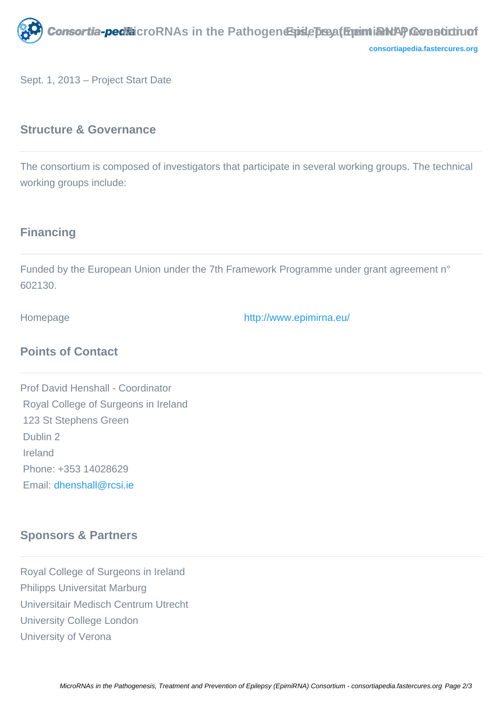

Sept. 1, 2013 – Project Start Date

#### **Structure & Governance**

The consortium is composed of investigators that participate in several working groups. The technical working groups include:

## **Financing**

Funded by the European Union under the 7th Framework Programme under grant agreement n° 602130.

Homepage <http://www.epimirna.eu/>

# **Points of Contact**

Prof David Henshall - Coordinator Royal College of Surgeons in Ireland 123 St Stephens Green Dublin 2 Ireland Phone: +353 14028629 Email: [dhenshall@rcsi.ie](mailto:dhenshall@rcsi.ie)

## **Sponsors & Partners**

Royal College of Surgeons in Ireland Philipps Universitat Marburg Universitair Medisch Centrum Utrecht University College London University of Verona